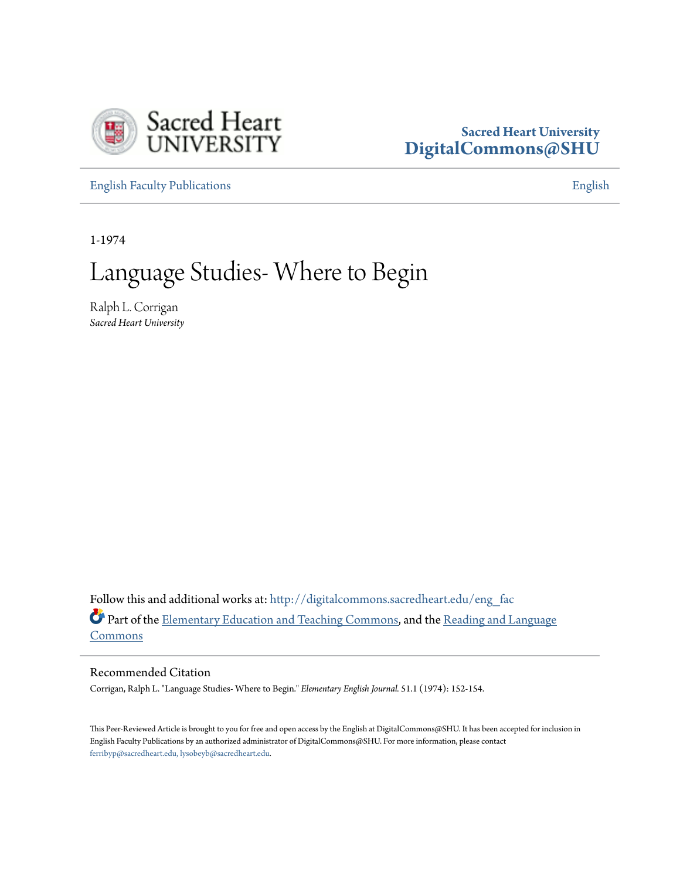

## **Sacred Heart University [DigitalCommons@SHU](http://digitalcommons.sacredheart.edu?utm_source=digitalcommons.sacredheart.edu%2Feng_fac%2F103&utm_medium=PDF&utm_campaign=PDFCoverPages)**

[English Faculty Publications](http://digitalcommons.sacredheart.edu/eng_fac?utm_source=digitalcommons.sacredheart.edu%2Feng_fac%2F103&utm_medium=PDF&utm_campaign=PDFCoverPages) **[English](http://digitalcommons.sacredheart.edu/eng?utm_source=digitalcommons.sacredheart.edu%2Feng_fac%2F103&utm_medium=PDF&utm_campaign=PDFCoverPages)** 

1-1974

## Language Studies- Where to Begin

Ralph L. Corrigan *Sacred Heart University*

Follow this and additional works at: [http://digitalcommons.sacredheart.edu/eng\\_fac](http://digitalcommons.sacredheart.edu/eng_fac?utm_source=digitalcommons.sacredheart.edu%2Feng_fac%2F103&utm_medium=PDF&utm_campaign=PDFCoverPages) Part of the [Elementary Education and Teaching Commons,](http://network.bepress.com/hgg/discipline/805?utm_source=digitalcommons.sacredheart.edu%2Feng_fac%2F103&utm_medium=PDF&utm_campaign=PDFCoverPages) and the [Reading and Language](http://network.bepress.com/hgg/discipline/1037?utm_source=digitalcommons.sacredheart.edu%2Feng_fac%2F103&utm_medium=PDF&utm_campaign=PDFCoverPages) [Commons](http://network.bepress.com/hgg/discipline/1037?utm_source=digitalcommons.sacredheart.edu%2Feng_fac%2F103&utm_medium=PDF&utm_campaign=PDFCoverPages)

Recommended Citation

Corrigan, Ralph L. "Language Studies- Where to Begin." *Elementary English Journal.* 51.1 (1974): 152-154.

This Peer-Reviewed Article is brought to you for free and open access by the English at DigitalCommons@SHU. It has been accepted for inclusion in English Faculty Publications by an authorized administrator of DigitalCommons@SHU. For more information, please contact [ferribyp@sacredheart.edu, lysobeyb@sacredheart.edu.](mailto:ferribyp@sacredheart.edu,%20lysobeyb@sacredheart.edu)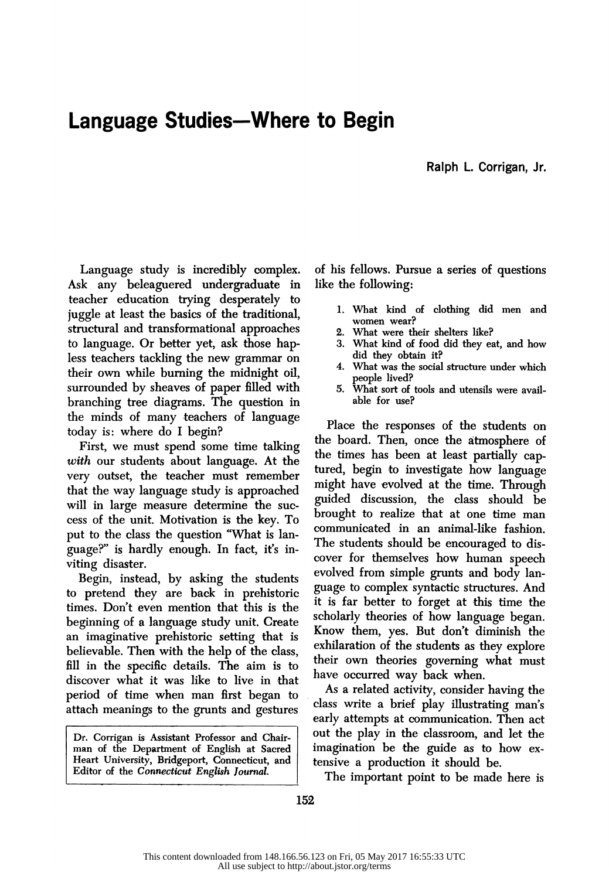## Language Studies-Where to Begin

Ralph L. Corrigan, Jr.

 Language study is incredibly complex. Ask any beleaguered undergraduate in teacher education trying desperately to juggle at least the basics of the traditional, structural and transformational approaches to language. Or better yet, ask those hap less teachers tackling the new grammar on their own while burning the midnight oil, surrounded by sheaves of paper filled with branching tree diagrams. The question in the minds of many teachers of language today is: where do I begin?

 First, we must spend some time talking with our students about language. At the very outset, the teacher must remember that the way language study is approached will in large measure determine the suc cess of the unit. Motivation is the key. To put to the class the question "What is lan guage?" is hardly enough. In fact, iťs in viting disaster.

 Begin, instead, by asking the students to pretend they are back in prehistoric times. Don't even mention that this is the beginning of a language study unit. Create an imaginative prehistoric setting that is believable. Then with the help of the class, fill in the specific details. The aim is to discover what it was like to live in that period of time when man first began to attach meanings to the grunts and gestures

 Dr, Corrigan is Assistant Professor and Chair man of the Department of English at Sacred Heart University, Bridgeport, Connecticut, and Editor of the Connecticut English Journal.

 of his fellows. Pursue a series of questions like the following:

- 1. What kind of clothing did men and women wear?
- 2. What were their shelters like?
- 3. What kind of food did they eat, and how did they obtain it?
- 4. What was the social structure under which people lived?
- 5. What sort of tools and utensils were avail able for use?

 Place the responses of the students on the board. Then, once the átmosphere of the times has been at least partially cap tured, begin to investigate how language might have evolved at the time. Through guided discussion, the class should be brought to realize that at one time man communicated in an animal-like fashion. The students should be encouraged to dis cover for themselves how human speech evolved from simple grunts and body lan guage to complex syntactic structures. And it is far better to forget at this time the scholarly theories of how language began. Know them, yes. But don't diminish the exhilaration of the students as they explore their own theories governing what must have occurred way back when.

 As a related activity, consider having the class write a brief play illustrating man's early attempts at communication. Then act out the play in the classroom, and let the imagination be the guide as to how ex tensive a production it should be.

The important point to be made here is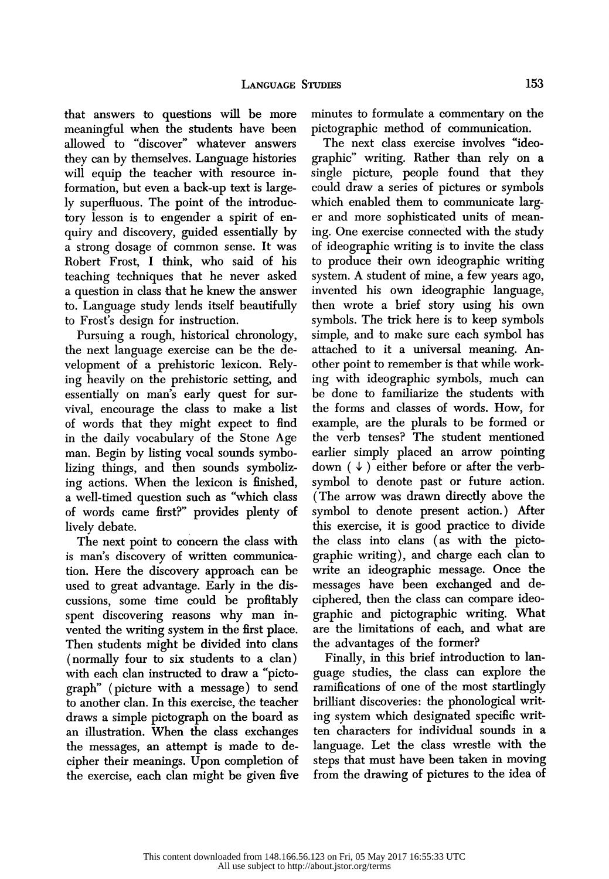that answers to questions will be more<br>meaningful when the students have been allowed to "discover" whatever answers they can by themselves. Language histories will equip the teacher with resource in formation, but even a back-up text is large ly superfluous. The point of the introduc tory lesson is to engender a spirit of en quiry and discovery, guided essentially by a strong dosage of common sense. It was Robert Frost, I think, who said of his teaching techniques that he never asked a question in class that he knew the answer to. Language study lends itself beautifully to Frosťs design for instruction.

 Pursuing a rough, historical chronology, the next language exercise can be the de velopment of a prehistoric lexicon. Rely ing heavily on the prehistoric setting, and essentially on man's early quest for sur vival, encourage the class to make a list of words that they might expect to find in the daily vocabulary of the Stone Age man. Begin by listing vocal sounds symbo lizing things, and then sounds symboliz ing actions. When the lexicon is finished, a well-timed question such as "which class of words came first?" provides plenty of lively debate.

 The next point to concern the class with is man's discovery of written communica tion. Here the discovery approach can be used to great advantage. Early in the dis cussions, some time could be profitably spent discovering reasons why man in vented the writing system in the first place. Then students might be divided into clans (normally four to six students to a clan) with each clan instructed to draw a "picto graph" (picture with a message) to send to another clan. In this exercise, the teacher draws a simple pictograph on the board as an illustration. When the class exchanges the messages, an attempt is made to de cipher their meanings. Upon completion of the exercise, each clan might be given five

 that answers to questions will be more minutes to formulate a commentary on the pictographic method of communication.

 The next class exercise involves "ideo graphic" writing. Rather than rely on a single picture, people found that they could draw a series of pictures or symbols which enabled them to communicate larg er and more sophisticated units of mean ing. One exercise connected with the study of ideographic writing is to invite the class to produce their own ideographic writing system. A student of mine, a few years ago, invented his own ideographic language, then wrote a brief story using his own symbols. The trick here is to keep symbols simple, and to make sure each symbol has attached to it a universal meaning. An other point to remember is that while work ing with ideographic symbols, much can be done to familiarize the students with the forms and classes of words. How, for example, are the plurals to be formed or the verb tenses? The student mentioned earlier simply placed an arrow pointing down  $(\downarrow)$  either before or after the verb symbol to denote past or future action. (The arrow was drawn directly above the symbol to denote present action.) After this exercise, it is good practice to divide the class into clans (as with the picto graphic writing), and charge each clan to write an ideographic message. Once the messages have been exchanged and de ciphered, then the class can compare ideo graphic and pictographic writing. What are the limitations of each, and what are the advantages of the former?

 Finally, in this brief introduction to lan guage studies, the class can explore the ramifications of one of the most startlingly brilliant discoveries: the phonological writ ing system which designated specific writ ten characters for individual sounds in a language. Let the class wrestle with the steps that must have been taken in moving from the drawing of pictures to the idea of